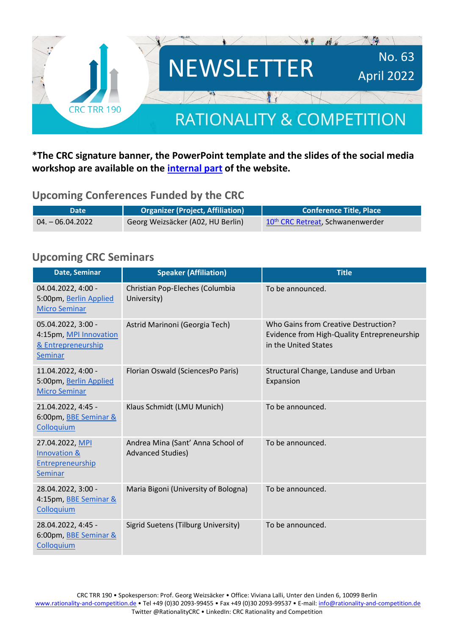

#### **\*The CRC signature banner, the PowerPoint template and the slides of the social media workshop are available on the [internal part](https://rationality-and-competition.de/internal/) of the website.**

#### **Upcoming Conferences Funded by the CRC**

| Date               | <b>Organizer (Project, Affiliation)</b> | <b>Conference Title, Place</b>               |
|--------------------|-----------------------------------------|----------------------------------------------|
| $04. - 06.04.2022$ | Georg Weizsäcker (A02, HU Berlin)       | 10 <sup>th</sup> CRC Retreat, Schwanenwerder |

#### **Upcoming CRC Seminars**

| Date, Seminar                                                                        | <b>Speaker (Affiliation)</b>                                  | <b>Title</b>                                                                                                |
|--------------------------------------------------------------------------------------|---------------------------------------------------------------|-------------------------------------------------------------------------------------------------------------|
| 04.04.2022, 4:00 -<br>5:00pm, Berlin Applied<br><b>Micro Seminar</b>                 | Christian Pop-Eleches (Columbia<br>University)                | To be announced.                                                                                            |
| 05.04.2022, 3:00 -<br>4:15pm, MPI Innovation<br>& Entrepreneurship<br><b>Seminar</b> | Astrid Marinoni (Georgia Tech)                                | Who Gains from Creative Destruction?<br>Evidence from High-Quality Entrepreneurship<br>in the United States |
| 11.04.2022, 4:00 -<br>5:00pm, Berlin Applied<br><b>Micro Seminar</b>                 | Florian Oswald (SciencesPo Paris)                             | Structural Change, Landuse and Urban<br>Expansion                                                           |
| 21.04.2022, 4:45 -<br>6:00pm, BBE Seminar &<br>Colloquium                            | Klaus Schmidt (LMU Munich)                                    | To be announced.                                                                                            |
| 27.04.2022, MPI<br>Innovation &<br><b>Entrepreneurship</b><br><b>Seminar</b>         | Andrea Mina (Sant' Anna School of<br><b>Advanced Studies)</b> | To be announced.                                                                                            |
| 28.04.2022, 3:00 -<br>4:15pm, BBE Seminar &<br>Colloquium                            | Maria Bigoni (University of Bologna)                          | To be announced.                                                                                            |
| 28.04.2022, 4:45 -<br>6:00pm, BBE Seminar &<br>Colloquium                            | Sigrid Suetens (Tilburg University)                           | To be announced.                                                                                            |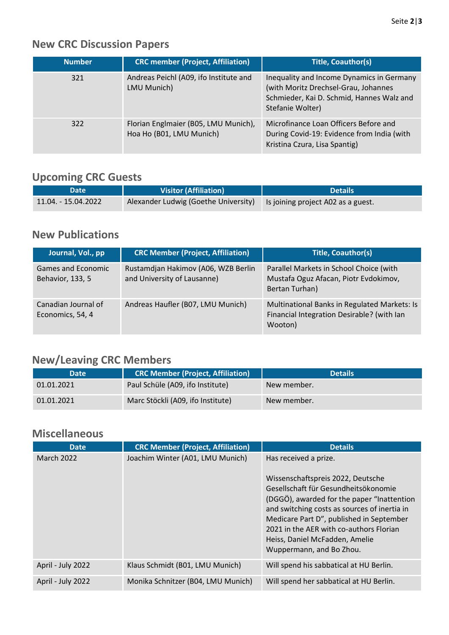## **New CRC Discussion Papers**

| <b>Number</b> | <b>CRC member (Project, Affiliation)</b>                         | <b>Title, Coauthor(s)</b>                                                                                                                          |
|---------------|------------------------------------------------------------------|----------------------------------------------------------------------------------------------------------------------------------------------------|
| 321           | Andreas Peichl (A09, ifo Institute and<br>LMU Munich)            | Inequality and Income Dynamics in Germany<br>(with Moritz Drechsel-Grau, Johannes<br>Schmieder, Kai D. Schmid, Hannes Walz and<br>Stefanie Wolter) |
| 322           | Florian Englmaier (B05, LMU Munich),<br>Hoa Ho (B01, LMU Munich) | Microfinance Loan Officers Before and<br>During Covid-19: Evidence from India (with<br>Kristina Czura, Lisa Spantig)                               |

## **Upcoming CRC Guests**

| <b>Date</b>         | Visitor (Affiliation)                | <b>Details</b>                     |
|---------------------|--------------------------------------|------------------------------------|
| 11.04. - 15.04.2022 | Alexander Ludwig (Goethe University) | Is joining project A02 as a guest. |

#### **New Publications**

| Journal, Vol., pp                       | <b>CRC Member (Project, Affiliation)</b>                           | <b>Title, Coauthor(s)</b>                                                                             |
|-----------------------------------------|--------------------------------------------------------------------|-------------------------------------------------------------------------------------------------------|
| Games and Economic<br>Behavior, 133, 5  | Rustamdjan Hakimov (A06, WZB Berlin<br>and University of Lausanne) | Parallel Markets in School Choice (with<br>Mustafa Oguz Afacan, Piotr Evdokimov,<br>Bertan Turhan)    |
| Canadian Journal of<br>Economics, 54, 4 | Andreas Haufler (B07, LMU Munich)                                  | Multinational Banks in Regulated Markets: Is<br>Financial Integration Desirable? (with Ian<br>Wooton) |

# **New/Leaving CRC Members**

| <b>Date</b> | <b>CRC Member (Project, Affiliation)</b> | <b>Details</b> |
|-------------|------------------------------------------|----------------|
| 01.01.2021  | Paul Schüle (A09, ifo Institute)         | New member.    |
| 01.01.2021  | Marc Stöckli (A09, ifo Institute)        | New member.    |

## **Miscellaneous**

| <b>Date</b>       | <b>CRC Member (Project, Affiliation)</b> | <b>Details</b>                                                                                                                                                                                                                                                                                                                                        |
|-------------------|------------------------------------------|-------------------------------------------------------------------------------------------------------------------------------------------------------------------------------------------------------------------------------------------------------------------------------------------------------------------------------------------------------|
| <b>March 2022</b> | Joachim Winter (A01, LMU Munich)         | Has received a prize.<br>Wissenschaftspreis 2022, Deutsche<br>Gesellschaft für Gesundheitsökonomie<br>(DGGÖ), awarded for the paper "Inattention<br>and switching costs as sources of inertia in<br>Medicare Part D", published in September<br>2021 in the AER with co-authors Florian<br>Heiss, Daniel McFadden, Amelie<br>Wuppermann, and Bo Zhou. |
| April - July 2022 | Klaus Schmidt (B01, LMU Munich)          | Will spend his sabbatical at HU Berlin.                                                                                                                                                                                                                                                                                                               |
| April - July 2022 | Monika Schnitzer (B04, LMU Munich)       | Will spend her sabbatical at HU Berlin.                                                                                                                                                                                                                                                                                                               |